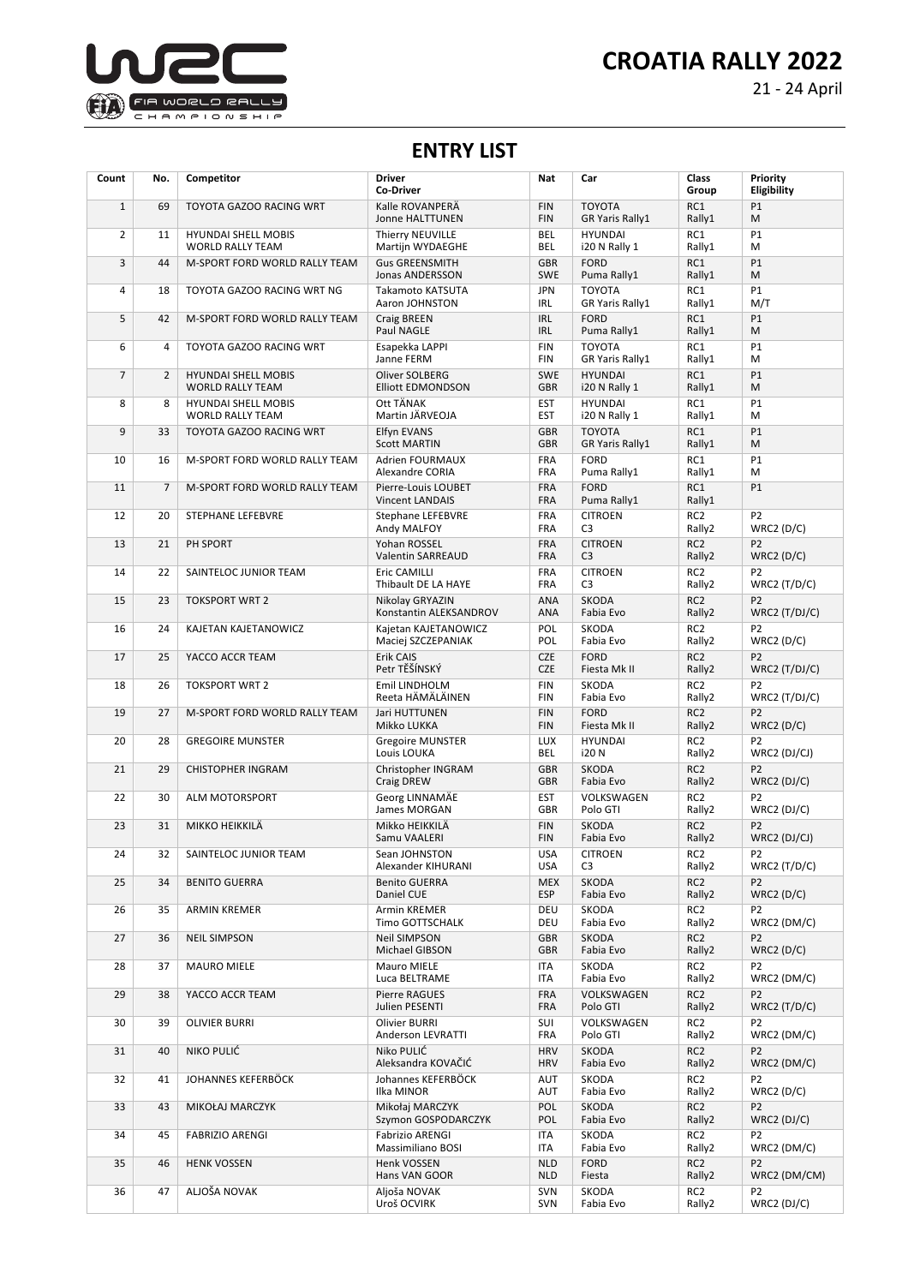



21 - 24 April

## **ENTRY LIST**

| Count          | No.            | Competitor                                            | <b>Driver</b><br><b>Co-Driver</b>               | Nat                      | Car                                     | Class<br>Group            | Priority<br>Eligibility           |
|----------------|----------------|-------------------------------------------------------|-------------------------------------------------|--------------------------|-----------------------------------------|---------------------------|-----------------------------------|
| $\mathbf{1}$   | 69             | TOYOTA GAZOO RACING WRT                               | Kalle ROVANPERÄ<br>Jonne HALTTUNEN              | <b>FIN</b><br><b>FIN</b> | <b>TOYOTA</b><br><b>GR Yaris Rally1</b> | RC1<br>Rally1             | P1<br>М                           |
| $\overline{2}$ | 11             | <b>HYUNDAI SHELL MOBIS</b><br><b>WORLD RALLY TEAM</b> | Thierry NEUVILLE<br>Martijn WYDAEGHE            | <b>BEL</b><br>BEL        | <b>HYUNDAI</b><br>i20 N Rally 1         | RC1<br>Rally1             | P1<br>M                           |
| 3              | 44             | M-SPORT FORD WORLD RALLY TEAM                         | <b>Gus GREENSMITH</b><br><b>Jonas ANDERSSON</b> | <b>GBR</b><br><b>SWE</b> | <b>FORD</b><br>Puma Rally1              | RC1<br>Rally1             | P1<br>M                           |
| 4              | 18             | TOYOTA GAZOO RACING WRT NG                            | Takamoto KATSUTA<br>Aaron JOHNSTON              | <b>JPN</b><br>IRL        | <b>TOYOTA</b><br>GR Yaris Rally1        | RC1<br>Rally1             | <b>P1</b><br>M/T                  |
| 5              | 42             | M-SPORT FORD WORLD RALLY TEAM                         | Craig BREEN<br>Paul NAGLE                       | <b>IRL</b><br><b>IRL</b> | <b>FORD</b><br>Puma Rally1              | RC1<br>Rally1             | P1<br>M                           |
| 6              | 4              | TOYOTA GAZOO RACING WRT                               | Esapekka LAPPI<br>Janne FERM                    | <b>FIN</b><br><b>FIN</b> | <b>TOYOTA</b><br>GR Yaris Rally1        | RC1<br>Rally1             | P1<br>M                           |
| $\overline{7}$ | $\overline{2}$ | <b>HYUNDAI SHELL MOBIS</b><br><b>WORLD RALLY TEAM</b> | Oliver SOLBERG<br><b>Elliott EDMONDSON</b>      | <b>SWE</b><br><b>GBR</b> | <b>HYUNDAI</b><br>i20 N Rally 1         | RC1<br>Rally1             | P1<br>M                           |
| 8              | 8              | <b>HYUNDAI SHELL MOBIS</b><br><b>WORLD RALLY TEAM</b> | Ott TÄNAK<br>Martin JÄRVEOJA                    | <b>EST</b><br><b>EST</b> | <b>HYUNDAI</b><br>i20 N Rally 1         | RC1<br>Rally1             | P1<br>M                           |
| 9              | 33             | TOYOTA GAZOO RACING WRT                               | <b>Elfyn EVANS</b><br><b>Scott MARTIN</b>       | <b>GBR</b><br><b>GBR</b> | <b>TOYOTA</b><br><b>GR Yaris Rally1</b> | RC1<br>Rally1             | P1<br>M                           |
| 10             | 16             | M-SPORT FORD WORLD RALLY TEAM                         | Adrien FOURMAUX<br>Alexandre CORIA              | <b>FRA</b><br><b>FRA</b> | <b>FORD</b><br>Puma Rally1              | RC1<br>Rally1             | <b>P1</b><br>M                    |
| 11             | $\overline{7}$ | M-SPORT FORD WORLD RALLY TEAM                         | Pierre-Louis LOUBET<br><b>Vincent LANDAIS</b>   | <b>FRA</b><br><b>FRA</b> | <b>FORD</b><br>Puma Rally1              | RC1<br>Rally1             | P1                                |
| 12             | 20             | STEPHANE LEFEBVRE                                     | Stephane LEFEBVRE<br>Andy MALFOY                | <b>FRA</b><br><b>FRA</b> | <b>CITROEN</b><br>C <sub>3</sub>        | RC <sub>2</sub><br>Rally2 | P <sub>2</sub><br>WRC2(D/C)       |
| 13             | 21             | PH SPORT                                              | Yohan ROSSEL<br>Valentin SARREAUD               | <b>FRA</b><br><b>FRA</b> | <b>CITROEN</b><br>C <sub>3</sub>        | RC <sub>2</sub><br>Rally2 | P <sub>2</sub><br>WRC2(D/C)       |
| 14             | 22             | SAINTELOC JUNIOR TEAM                                 | Eric CAMILLI<br>Thibault DE LA HAYE             | <b>FRA</b><br><b>FRA</b> | <b>CITROEN</b><br>C <sub>3</sub>        | RC <sub>2</sub><br>Rally2 | P <sub>2</sub><br>WRC2(T/D/C)     |
| 15             | 23             | <b>TOKSPORT WRT 2</b>                                 | Nikolay GRYAZIN<br>Konstantin ALEKSANDROV       | <b>ANA</b><br><b>ANA</b> | <b>SKODA</b><br>Fabia Evo               | RC <sub>2</sub><br>Rally2 | P <sub>2</sub><br>$WRC2$ (T/DJ/C) |
| 16             | 24             | KAJETAN KAJETANOWICZ                                  | Kajetan KAJETANOWICZ<br>Maciej SZCZEPANIAK      | POL<br>POL               | SKODA<br>Fabia Evo                      | RC <sub>2</sub><br>Rally2 | P <sub>2</sub><br>WRC2(D/C)       |
| 17             | 25             | YACCO ACCR TEAM                                       | Erik CAIS<br>Petr TĚŠÍNSKÝ                      | <b>CZE</b><br><b>CZE</b> | <b>FORD</b><br>Fiesta Mk II             | RC <sub>2</sub><br>Rally2 | P <sub>2</sub><br>$WRC2$ (T/DJ/C) |
| 18             | 26             | <b>TOKSPORT WRT 2</b>                                 | Emil LINDHOLM<br>Reeta HÄMÄLÄINEN               | <b>FIN</b><br><b>FIN</b> | <b>SKODA</b><br>Fabia Evo               | RC <sub>2</sub><br>Rally2 | P <sub>2</sub><br>$WRC2$ (T/DJ/C) |
| 19             | 27             | M-SPORT FORD WORLD RALLY TEAM                         | Jari HUTTUNEN<br>Mikko LUKKA                    | <b>FIN</b><br><b>FIN</b> | <b>FORD</b><br>Fiesta Mk II             | RC <sub>2</sub><br>Rally2 | P <sub>2</sub><br>WRC2(D/C)       |
| 20             | 28             | <b>GREGOIRE MUNSTER</b>                               | <b>Gregoire MUNSTER</b><br>Louis LOUKA          | <b>LUX</b><br>BEL        | <b>HYUNDAI</b><br>i20 N                 | RC <sub>2</sub><br>Rally2 | P <sub>2</sub><br>WRC2 (DJ/CJ)    |
| 21             | 29             | <b>CHISTOPHER INGRAM</b>                              | Christopher INGRAM<br>Craig DREW                | <b>GBR</b><br><b>GBR</b> | <b>SKODA</b><br>Fabia Evo               | RC <sub>2</sub><br>Rally2 | P <sub>2</sub><br>WRC2(DJ/C)      |
| 22             | 30             | ALM MOTORSPORT                                        | Georg LINNAMÄE<br>James MORGAN                  | <b>EST</b><br><b>GBR</b> | VOLKSWAGEN<br>Polo GTI                  | RC <sub>2</sub><br>Rally2 | P <sub>2</sub><br>$WRC2$ (DJ/C)   |
| 23             | 31             | MIKKO HEIKKILÄ                                        | Mikko HEIKKILÄ<br>Samu VAALERI                  | <b>FIN</b><br><b>FIN</b> | <b>SKODA</b><br>Fabia Evo               | RC <sub>2</sub><br>Rally2 | P <sub>2</sub><br>WRC2 (DJ/CJ)    |
| 24             | 32             | SAINTELOC JUNIOR TEAM                                 | Sean JOHNSTON<br>Alexander KIHURANI             | <b>USA</b><br><b>USA</b> | <b>CITROEN</b><br>C3                    | RC <sub>2</sub><br>Rally2 | P <sub>2</sub><br>WRC2 $(T/D/C)$  |
| 25             | 34             | <b>BENITO GUERRA</b>                                  | <b>Benito GUERRA</b><br>Daniel CUE              | <b>MEX</b><br><b>ESP</b> | SKODA<br>Fabia Evo                      | RC <sub>2</sub><br>Rally2 | P <sub>2</sub><br>WRC2 $(D/C)$    |
| 26             | 35             | ARMIN KREMER                                          | Armin KREMER<br>Timo GOTTSCHALK                 | DEU<br>DEU               | SKODA<br>Fabia Evo                      | RC <sub>2</sub><br>Rally2 | P2<br>WRC2 (DM/C)                 |
| 27             | 36             | <b>NEIL SIMPSON</b>                                   | <b>Neil SIMPSON</b><br>Michael GIBSON           | <b>GBR</b><br><b>GBR</b> | SKODA<br>Fabia Evo                      | RC <sub>2</sub><br>Rally2 | P <sub>2</sub><br>WRC2(D/C)       |
| 28             | 37             | <b>MAURO MIELE</b>                                    | Mauro MIELE<br>Luca BELTRAME                    | ITA<br>ITA               | SKODA<br>Fabia Evo                      | RC <sub>2</sub><br>Rally2 | P <sub>2</sub><br>WRC2 (DM/C)     |
| 29             | 38             | YACCO ACCR TEAM                                       | Pierre RAGUES<br>Julien PESENTI                 | <b>FRA</b><br><b>FRA</b> | VOLKSWAGEN<br>Polo GTI                  | RC <sub>2</sub><br>Rally2 | P <sub>2</sub><br>WRC2 $(T/D/C)$  |
| 30             | 39             | <b>OLIVIER BURRI</b>                                  | <b>Olivier BURRI</b><br>Anderson LEVRATTI       | SUI<br><b>FRA</b>        | VOLKSWAGEN<br>Polo GTI                  | RC <sub>2</sub><br>Rally2 | P <sub>2</sub><br>WRC2 (DM/C)     |
| 31             | 40             | NIKO PULIĆ                                            | Niko PULIĆ<br>Aleksandra KOVAČIĆ                | <b>HRV</b><br><b>HRV</b> | SKODA<br>Fabia Evo                      | RC <sub>2</sub><br>Rally2 | P <sub>2</sub><br>WRC2 (DM/C)     |
| 32             | 41             | JOHANNES KEFERBÖCK                                    | Johannes KEFERBÖCK<br>Ilka MINOR                | AUT<br>AUT               | SKODA<br>Fabia Evo                      | RC <sub>2</sub><br>Rally2 | P <sub>2</sub><br>WRC2(D/C)       |
| 33             | 43             | MIKOŁAJ MARCZYK                                       | Mikołaj MARCZYK<br>Szymon GOSPODARCZYK          | POL<br>POL               | <b>SKODA</b><br>Fabia Evo               | RC <sub>2</sub><br>Rally2 | P <sub>2</sub><br>$WRC2$ (DJ/C)   |
| 34             | 45             | <b>FABRIZIO ARENGI</b>                                | <b>Fabrizio ARENGI</b><br>Massimiliano BOSI     | <b>ITA</b><br>ITA        | SKODA<br>Fabia Evo                      | RC <sub>2</sub><br>Rally2 | P <sub>2</sub><br>WRC2 (DM/C)     |
| 35             | 46             | <b>HENK VOSSEN</b>                                    | Henk VOSSEN<br>Hans VAN GOOR                    | <b>NLD</b><br><b>NLD</b> | <b>FORD</b><br>Fiesta                   | RC <sub>2</sub><br>Rally2 | P <sub>2</sub><br>WRC2 (DM/CM)    |
| 36             | 47             | ALJOŠA NOVAK                                          | Aljoša NOVAK<br>Uroš OCVIRK                     | <b>SVN</b><br><b>SVN</b> | SKODA<br>Fabia Evo                      | RC <sub>2</sub><br>Rally2 | P <sub>2</sub><br>WRC2 (DJ/C)     |